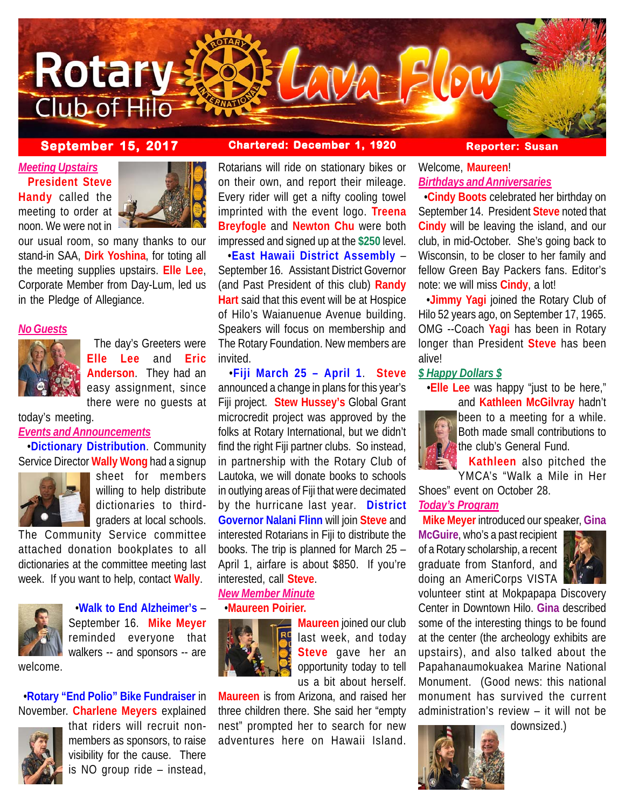

### **September 15, 2017 Chartered: December 1, 1920 Reporter: Susan**

*Meeting Upstairs* **President Steve Handy** called the meeting to order at noon. We were not in



our usual room, so many thanks to our stand-in SAA, **Dirk Yoshina**, for toting all the meeting supplies upstairs. **Elle Lee**, Corporate Member from Day-Lum, led us in the Pledge of Allegiance.

#### *No Guests*



 The day's Greeters were **Elle Lee** and **Eric Anderson**. They had an easy assignment, since there were no guests at

today's meeting.

# *Events and Announcements*

 •**Dictionary Distribution**. Community Service Director **Wally Wong** had a signup



sheet for members willing to help distribute dictionaries to thirdgraders at local schools.

The Community Service committee attached donation bookplates to all dictionaries at the committee meeting last week. If you want to help, contact **Wally**.



 •**Walk to End Alzheimer's** – September 16. **Mike Meyer** reminded everyone that walkers -- and sponsors -- are

 •**Rotary "End Polio" Bike Fundraiser** in November. **Charlene Meyers** explained



that riders will recruit nonmembers as sponsors, to raise visibility for the cause. There is NO group ride – instead,

Rotarians will ride on stationary bikes or on their own, and report their mileage. Every rider will get a nifty cooling towel imprinted with the event logo. **Treena Breyfogle** and **Newton Chu** were both impressed and signed up at the **\$250** level.

 •**East Hawaii District Assembly** – September 16. Assistant District Governor (and Past President of this club) **Randy Hart** said that this event will be at Hospice of Hilo's Waianuenue Avenue building. Speakers will focus on membership and The Rotary Foundation. New members are invited.

 •**Fiji March 25 – April 1**. **Steve** announced a change in plans for this year's Fiji project. **Stew Hussey's** Global Grant microcredit project was approved by the folks at Rotary International, but we didn't find the right Fiji partner clubs. So instead, in partnership with the Rotary Club of Lautoka, we will donate books to schools in outlying areas of Fiji that were decimated by the hurricane last year. **District Governor Nalani Flinn** will join **Steve** and interested Rotarians in Fiji to distribute the books. The trip is planned for March 25 – April 1, airfare is about \$850. If you're interested, call **Steve**.

### *New Member Minute* •**Maureen Poirier.**



**Maureen** joined our club last week, and today **Steve** gave her an opportunity today to tell us a bit about herself.

**Maureen** is from Arizona, and raised her three children there. She said her "empty nest" prompted her to search for new adventures here on Hawaii Island.

# Welcome, **Maureen**! *Birthdays and Anniversaries*

 •**Cindy Boots** celebrated her birthday on September 14. President **Steve** noted that **Cindy** will be leaving the island, and our club, in mid-October. She's going back to Wisconsin, to be closer to her family and fellow Green Bay Packers fans. Editor's note: we will miss **Cindy**, a lot!

 •**Jimmy Yagi** joined the Rotary Club of Hilo 52 years ago, on September 17, 1965. OMG --Coach **Yagi** has been in Rotary longer than President **Steve** has been alive!

## *\$ Happy Dollars \$*

 •**Elle Lee** was happy "just to be here," and **Kathleen McGilvray** hadn't



been to a meeting for a while. Both made small contributions to the club's General Fund.

 **Kathleen** also pitched the YMCA's "Walk a Mile in Her

Shoes" event on October 28.

# *Today's Program*

**Mike Meyer** introduced our speaker, **Gina**

**McGuire**, who's a past recipient of a Rotary scholarship, a recent graduate from Stanford, and doing an AmeriCorps VISTA



volunteer stint at Mokpapapa Discovery Center in Downtown Hilo. **Gina** described some of the interesting things to be found at the center (the archeology exhibits are upstairs), and also talked about the Papahanaumokuakea Marine National Monument. (Good news: this national monument has survived the current administration's review – it will not be

downsized.)